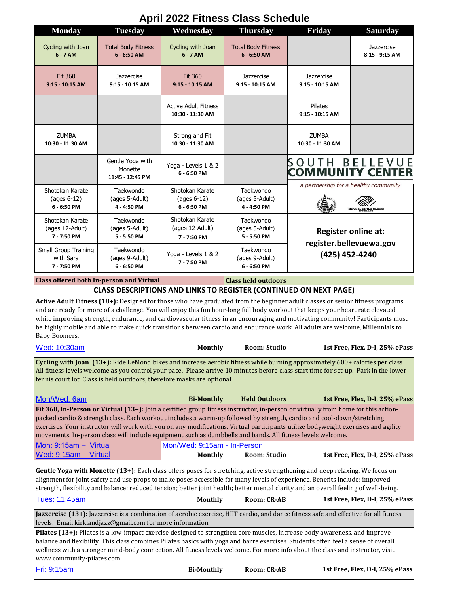## **April 2022 Fitness Class Schedule Monday Tuesday Wednesday Thursday Friday Saturday** Cycling with Joan Total Body Fitness Cycling with Joan Total Body Fitness **Jazzercise 6 - 7 AM 6 - 6:50 AM 6 - 7 AM 6 - 6:50 AM 8:15 - 9:15 AM Jazzercise Jazzercise** Fit 360 Fit 360 Jazzercise **9:15 - 10:15 AM 9:15 - 10:15 AM 9:15 - 10:15 AM 9:15 - 10:15 AM 9:15 - 10:15 AM** Active Adult Fitness Pilates **10:30 - 11:30 AM 9:15 - 10:15 AM ZLIMBA** Strong and Fit ZUMBA **10:30 - 11:30 AM 10:30 - 11:30 AM 10:30 - 11:30 AM SOUTH BELLEVUE** Gentle Yoga with Yoga - Levels 1 & 2 Monette **COMMUNITY CENTER 6 - 6:50 PM 11:45 - 12:45 PM** a partnership for a healthy community Shotokan Karate Taekwondo Shotokan Karate **Taekwondo** (ages 6-12) (ages 5-Adult) (ages 6-12) (ages 5-Adult) **6 - 6:50 PM 4 - 4:50 PM 6 - 6:50 PM 4 - 4:50 PM** Shotokan Karate Shotokan Karate Taekwondo Taekwondo (ages 5-Adult) (ages 12-Adult) (ages 12-Adult) (ages 5-Adult) **Register online at: 7 - 7:50 PM 5 - 5:50 PM 5 - 5:50 PM 7 - 7:50 PM register.bellevuewa.gov**  Small Group Training Taekwondo Taekwondo Yoga - Levels 1 & 2 **(425) 452-4240**  with Sara (ages 9-Adult) (ages 9-Adult) **7 - 7:50 PM 7 - 7:50 PM 6 - 6:50 PM 6 - 6:50 PM Class offered both In-person and Virtual Class held outdoors CLASS DESCRIPTIONS AND LINKS TO REGISTER (CONTINUED ON NEXT PAGE)**

**Active Adult Fitness (18+):** Designed for those who have graduated from the beginner adult classes or senior fitness programs and are ready for more of a challenge. You will enjoy this fun hour-long full body workout that keeps your heart rate elevated while improving strength, endurance, and cardiovascular fitness in an encouraging and motivating community! Participants must be highly mobile and able to make quick transitions between cardio and endurance work. All adults are welcome, Millennials to Baby Boomers.

| Wed: 10:30am | Monthly | Room: Studio | 1st Free, Flex, D-I, 25% ePass |
|--------------|---------|--------------|--------------------------------|
|--------------|---------|--------------|--------------------------------|

**Cycling with Joan (13+):** Ride LeMond bikes and increase aerobic fitness while burning approximately 600+ calories per class. All fitness levels welcome as you control your pace. Please arrive 10 minutes before class start time for set-up. Park in the lower tennis court lot. Class is held outdoors, therefore masks are optional.

| Mon/Wed: 6am                                                                                                                                                                                                                                                                                                                                                                                                                                                                                                  | <b>Bi-Monthly</b>                             | <b>Held Outdoors</b> | 1st Free, Flex, D-I, 25% ePass |
|---------------------------------------------------------------------------------------------------------------------------------------------------------------------------------------------------------------------------------------------------------------------------------------------------------------------------------------------------------------------------------------------------------------------------------------------------------------------------------------------------------------|-----------------------------------------------|----------------------|--------------------------------|
| Fit 360, In-Person or Virtual (13+): Join a certified group fitness instructor, in-person or virtually from home for this action-<br>packed cardio & strength class. Each workout includes a warm-up followed by strength, cardio and cool-down/stretching<br>exercises. Your instructor will work with you on any modifications. Virtual participants utilize bodyweight exercises and agility<br>movements. In-person class will include equipment such as dumbbells and bands. All fitness levels welcome. |                                               |                      |                                |
| Mon: $9:15am - Virtual$<br>Wed: 9:15am - Virtual                                                                                                                                                                                                                                                                                                                                                                                                                                                              | Mon/Wed: 9:15am - In-Person<br><b>Monthly</b> | Room: Studio         | 1st Free, Flex, D-I, 25% ePass |

**Gentle Yoga with Monette (13+):** Each class offers poses for stretching, active strengthening and deep relaxing. We focus on alignment for joint safety and use props to make poses accessible for many levels of experience. Benefits include: improved strength, flexibility and balance; reduced tension; better joint health; better mental clarity and an overall feeling of well-being.

| Tues: 11:45am | Monthly | <b>Room: CR-AB</b> | 1st Free, Flex, D-I, 25% ePass |
|---------------|---------|--------------------|--------------------------------|
|               |         |                    |                                |

**Jazzercise (13+):** Jazzercise is a combination of aerobic exercise, HIIT cardio, and dance fitness safe and effective for all fitness levels. Email kirklandjazz@gmail.com for more information.

**Pilates (13+):** Pilates is a low-impact exercise designed to strengthen core muscles, increase body awareness, and improve balance and flexibility. This class combines Pilates basics with yoga and barre exercises. Students often feel a sense of overall wellness with a stronger mind-body connection. All fitness levels welcome. For more info about the class and instructor, visit www.community-pilates.com